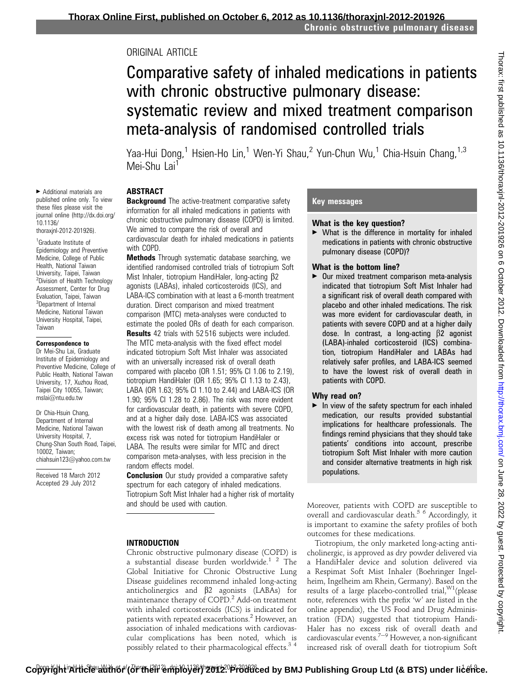## ORIGINAL ARTICLE

# Comparative safety of inhaled medications in patients with chronic obstructive pulmonary disease: systematic review and mixed treatment comparison meta-analysis of randomised controlled trials

Yaa-Hui Dong,<sup>1</sup> Hsien-Ho Lin,<sup>1</sup> Wen-Yi Shau,<sup>2</sup> Yun-Chun Wu,<sup>1</sup> Chia-Hsuin Chang,<sup>1,3</sup> Mei-Shu Lai<sup>1</sup>

## ABSTRACT

**Background** The active-treatment comparative safety information for all inhaled medications in patients with chronic obstructive pulmonary disease (COPD) is limited. We aimed to compare the risk of overall and cardiovascular death for inhaled medications in patients with COPD.

**Methods** Through systematic database searching, we identified randomised controlled trials of tiotropium Soft Mist Inhaler, tiotropium HandiHaler, long-acting  $\beta$ 2 agonists (LABAs), inhaled corticosteroids (ICS), and LABA-ICS combination with at least a 6-month treatment duration. Direct comparison and mixed treatment comparison (MTC) meta-analyses were conducted to estimate the pooled ORs of death for each comparison.

**Results** 42 trials with 52 516 subjects were included. The MTC meta-analysis with the fixed effect model indicated tiotropium Soft Mist Inhaler was associated with an universally increased risk of overall death compared with placebo (OR 1.51; 95% CI 1.06 to 2.19), tiotropium HandiHaler (OR 1.65; 95% CI 1.13 to 2.43), LABA (OR 1.63; 95% CI 1.10 to 2.44) and LABA-ICS (OR 1.90; 95% CI 1.28 to 2.86). The risk was more evident for cardiovascular death, in patients with severe COPD, and at a higher daily dose. LABA-ICS was associated with the lowest risk of death among all treatments. No excess risk was noted for tiotropium HandiHaler or LABA. The results were similar for MTC and direct comparison meta-analyses, with less precision in the random effects model.

**Conclusion** Our study provided a comparative safety spectrum for each category of inhaled medications. Tiotropium Soft Mist Inhaler had a higher risk of mortality and should be used with caution.

#### INTRODUCTION

Chronic obstructive pulmonary disease (COPD) is a substantial disease burden worldwide.<sup>1</sup>  $^2$  The Global Initiative for Chronic Obstructive Lung Disease guidelines recommend inhaled long-acting anticholinergics and  $\beta$ 2 agonists (LABAs) for maintenance therapy of COPD.<sup>2</sup> Add-on treatment with inhaled corticosteroids (ICS) is indicated for patients with repeated exacerbations.2 However, an association of inhaled medications with cardiovascular complications has been noted, which is possibly related to their pharmacological effects.<sup>34</sup>

## Key messages

#### What is the key question?

 $\blacktriangleright$  What is the difference in mortality for inhaled medications in patients with chronic obstructive pulmonary disease (COPD)?

#### What is the bottom line?

 $\triangleright$  Our mixed treatment comparison meta-analysis indicated that tiotropium Soft Mist Inhaler had a significant risk of overall death compared with placebo and other inhaled medications. The risk was more evident for cardiovascular death, in patients with severe COPD and at a higher daily dose. In contrast, a long-acting  $\beta$ 2 agonist (LABA)-inhaled corticosteroid (ICS) combination, tiotropium HandiHaler and LABAs had relatively safer profiles, and LABA-ICS seemed to have the lowest risk of overall death in patients with COPD.

#### Why read on?

 $\blacktriangleright$  In view of the safety spectrum for each inhaled medication, our results provided substantial implications for healthcare professionals. The findings remind physicians that they should take patients' conditions into account, prescribe tiotropium Soft Mist Inhaler with more caution and consider alternative treatments in high risk populations.

Moreover, patients with COPD are susceptible to overall and cardiovascular death.5 6 Accordingly, it is important to examine the safety profiles of both outcomes for these medications.

Tiotropium, the only marketed long-acting anticholinergic, is approved as dry powder delivered via a HandiHaler device and solution delivered via a Respimat Soft Mist Inhaler (Boehringer Ingelheim, Ingelheim am Rhein, Germany). Based on the results of a large placebo-controlled trial,  $W1$ (please note, references with the prefix 'w' are listed in the online appendix), the US Food and Drug Administration (FDA) suggested that tiotropium Handi-Haler has no excess risk of overall death and cardiovascular events.<sup>7-9</sup> However, a non-significant increased risk of overall death for tiotropium Soft

▶ Additional materials are published online only. To view these files please visit the journal online (http://dx.doi.org/ 10.1136/ thoraxjnl-2012-201926).

<sup>1</sup>Graduate Institute of Epidemiology and Preventive Medicine, College of Public Health, National Taiwan University, Taipei, Taiwan <sup>2</sup>Division of Health Technology Assessment, Center for Drug Evaluation, Taipei, Taiwan <sup>3</sup>Department of Internal Medicine, National Taiwan University Hospital, Taipei, Taiwan

#### Correspondence to

Dr Mei-Shu Lai, Graduate Institute of Epidemiology and Preventive Medicine, College of Public Health, National Taiwan University, 17, Xuzhou Road, Taipei City 10055, Taiwan; mslai@ntu.edu.tw

Dr Chia-Hsuin Chang, Department of Internal Medicine, National Taiwan University Hospital, 7, Chung-Shan South Road, Taipei, 10002, Taiwan; chiahsuin123@yahoo.com.tw

Received 18 March 2012 Accepted 29 July 2012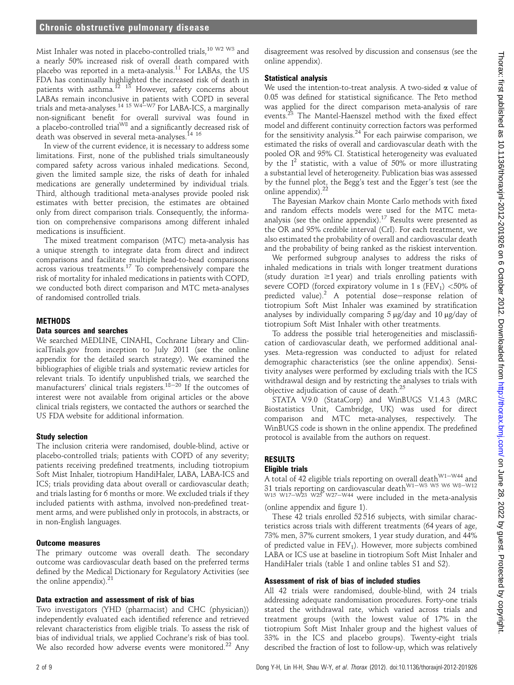Mist Inhaler was noted in placebo-controlled trials,<sup>10 W2 W3</sup> and a nearly 50% increased risk of overall death compared with placebo was reported in a meta-analysis.<sup>11</sup> For LABAs, the US FDA has continually highlighted the increased risk of death in patients with asthma. $^{12}$  1<sup>3</sup> However, safety concerns about LABAs remain inconclusive in patients with COPD in several<br>trials and meta-analyses.<sup>14 15 W4—W7</sup> For LABA-ICS, a marginally non-significant benefit for overall survival was found in a placebo-controlled trial<sup>W8</sup> and a significantly decreased risk of death was observed in several meta-analyses.<sup>14 16</sup>

In view of the current evidence, it is necessary to address some limitations. First, none of the published trials simultaneously compared safety across various inhaled medications. Second, given the limited sample size, the risks of death for inhaled medications are generally undetermined by individual trials. Third, although traditional meta-analyses provide pooled risk estimates with better precision, the estimates are obtained only from direct comparison trials. Consequently, the information on comprehensive comparisons among different inhaled medications is insufficient.

The mixed treatment comparison (MTC) meta-analysis has a unique strength to integrate data from direct and indirect comparisons and facilitate multiple head-to-head comparisons across various treatments.17 To comprehensively compare the risk of mortality for inhaled medications in patients with COPD, we conducted both direct comparison and MTC meta-analyses of randomised controlled trials.

#### **METHODS**

### Data sources and searches

We searched MEDLINE, CINAHL, Cochrane Library and ClinicalTrials.gov from inception to July 2011 (see the online appendix for the detailed search strategy). We examined the bibliographies of eligible trials and systematic review articles for relevant trials. To identify unpublished trials, we searched the manufacturers' clinical trials registers.<sup>18-20</sup> If the outcomes of interest were not available from original articles or the above clinical trials registers, we contacted the authors or searched the US FDA website for additional information.

#### Study selection

The inclusion criteria were randomised, double-blind, active or placebo-controlled trials; patients with COPD of any severity; patients receiving predefined treatments, including tiotropium Soft Mist Inhaler, tiotropium HandiHaler, LABA, LABA-ICS and ICS; trials providing data about overall or cardiovascular death; and trials lasting for 6 months or more. We excluded trials if they included patients with asthma, involved non-predefined treatment arms, and were published only in protocols, in abstracts, or in non-English languages.

#### Outcome measures

The primary outcome was overall death. The secondary outcome was cardiovascular death based on the preferred terms defined by the Medical Dictionary for Regulatory Activities (see the online appendix). $21$ 

#### Data extraction and assessment of risk of bias

Two investigators (YHD (pharmacist) and CHC (physician)) independently evaluated each identified reference and retrieved relevant characteristics from eligible trials. To assess the risk of bias of individual trials, we applied Cochrane's risk of bias tool. We also recorded how adverse events were monitored.<sup>22</sup> Any disagreement was resolved by discussion and consensus (see the online appendix).

#### Statistical analysis

We used the intention-to-treat analysis. A two-sided  $\alpha$  value of 0.05 was defined for statistical significance. The Peto method was applied for the direct comparison meta-analysis of rare events.<sup>23</sup> The Mantel-Haenszel method with the fixed effect model and different continuity correction factors was performed for the sensitivity analysis. $24$  For each pairwise comparison, we estimated the risks of overall and cardiovascular death with the pooled OR and 95% CI. Statistical heterogeneity was evaluated by the  $I^2$  statistic, with a value of 50% or more illustrating a substantial level of heterogeneity. Publication bias was assessed by the funnel plot, the Begg's test and the Egger's test (see the online appendix). $^{2}$ 

The Bayesian Markov chain Monte Carlo methods with fixed and random effects models were used for the MTC metaanalysis (see the online appendix).<sup>17</sup> Results were presented as the OR and 95% credible interval (CrI). For each treatment, we also estimated the probability of overall and cardiovascular death and the probability of being ranked as the riskiest intervention.

We performed subgroup analyses to address the risks of inhaled medications in trials with longer treatment durations (study duration  $\geq$ 1 year) and trials enrolling patients with severe COPD (forced expiratory volume in 1 s (FEV<sub>1</sub>)  $<$  50% of predicted value).<sup>2</sup> A potential dose-response relation of tiotropium Soft Mist Inhaler was examined by stratification analyses by individually comparing  $5 \mu g/day$  and  $10 \mu g/day$  of tiotropium Soft Mist Inhaler with other treatments.

To address the possible trial heterogeneities and misclassification of cardiovascular death, we performed additional analyses. Meta-regression was conducted to adjust for related demographic characteristics (see the online appendix). Sensitivity analyses were performed by excluding trials with the ICS withdrawal design and by restricting the analyses to trials with objective adjudication of cause of death.<sup>25</sup>

STATA V.9.0 (StataCorp) and WinBUGS V.1.4.3 (MRC Biostatistics Unit, Cambridge, UK) was used for direct comparison and MTC meta-analyses, respectively. The WinBUGS code is shown in the online appendix. The predefined protocol is available from the authors on request.

#### RESULTS Eligible trials

## A total of 42 eligible trials reporting on overall death  $W1-W44$  and 31 trials reporting on cardiovascular death<sup>W1-W3</sup> W5 W6 W8-W12 w15 w17–w23 w25 w27–w44 were included in the meta-analysis

(online appendix and figure 1).

These 42 trials enrolled 52 516 subjects, with similar characteristics across trials with different treatments (64 years of age, 73% men, 37% current smokers, 1 year study duration, and 44% of predicted value in  $FEV<sub>1</sub>$ ). However, more subjects combined LABA or ICS use at baseline in tiotropium Soft Mist Inhaler and HandiHaler trials (table 1 and online tables S1 and S2).

## Assessment of risk of bias of included studies

All 42 trials were randomised, double-blind, with 24 trials addressing adequate randomisation procedures. Forty-one trials stated the withdrawal rate, which varied across trials and treatment groups (with the lowest value of 17% in the tiotropium Soft Mist Inhaler group and the highest values of 33% in the ICS and placebo groups). Twenty-eight trials described the fraction of lost to follow-up, which was relatively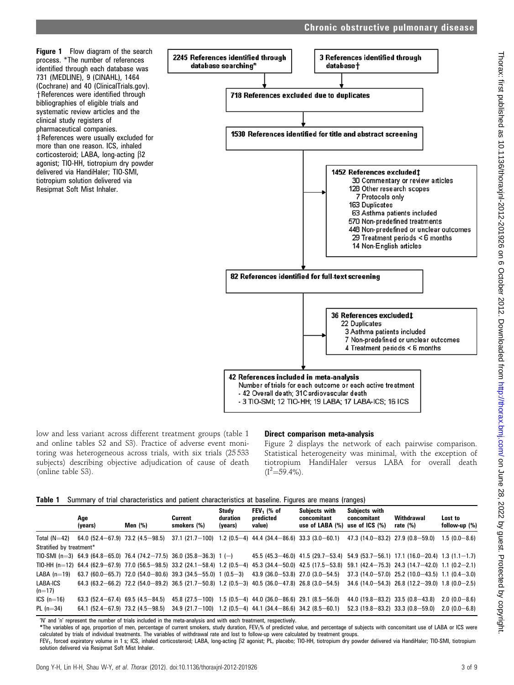Figure 1 Flow diagram of the search process. \*The number of references identified through each database was 731 (MEDLINE), 9 (CINAHL), 1464 (Cochrane) and 40 (ClinicalTrials.gov). +References were identified through bibliographies of eligible trials and systematic review articles and the clinical study registers of pharmaceutical companies.  $#$ References were usually excluded for more than one reason. ICS, inhaled corticosteroid; LABA, long-acting  $\beta$ 2 agonist; TIO-HH, tiotropium dry powder delivered via HandiHaler; TIO-SMI,

tiotropium solution delivered via Resipmat Soft Mist Inhaler.



Chronic obstructive pulmonary disease

low and less variant across different treatment groups (table 1 and online tables S2 and S3). Practice of adverse event monitoring was heterogeneous across trials, with six trials (25 533 subjects) describing objective adjudication of cause of death (online table S3).

#### Direct comparison meta-analysis

Figure 2 displays the network of each pairwise comparison. Statistical heterogeneity was minimal, with the exception of tiotropium HandiHaler versus LABA for overall death  $(I^2=59.4\%)$ .

|  | Table 1 Summary of trial characteristics and patient characteristics at baseline. Figures are means (ranges) |  |  |  |
|--|--------------------------------------------------------------------------------------------------------------|--|--|--|

|                          | Age<br>(years)                           | Men (%) | Current<br>smokers (%)                                                 | Study<br>duration<br>(years) | <b>FEV</b> , (% of<br>predicted<br>value)     | Subiects with<br>concomitant<br>use of LABA $(\%)$                                                                                                               | Subjects with<br>concomitant<br>use of $ICS$ $%$ | Withdrawal<br>rate $(\%)$                         | Lost to<br>follow-up (%) |
|--------------------------|------------------------------------------|---------|------------------------------------------------------------------------|------------------------------|-----------------------------------------------|------------------------------------------------------------------------------------------------------------------------------------------------------------------|--------------------------------------------------|---------------------------------------------------|--------------------------|
| Total $(N=42)$           | $64.0(52.4 - 67.9)$ 73.2 (4.5 $-98.5$ )  |         | $37.1(21.7-100)$                                                       |                              | $1.2(0.5-4)$ 44.4 (34.4-86.6) 33.3 (3.0-60.1) |                                                                                                                                                                  | $47.3(14.0 - 83.2)$ $27.9(0.8 - 59.0)$           |                                                   | $1.5(0.0-8.6)$           |
| Stratified by treatment* |                                          |         |                                                                        |                              |                                               |                                                                                                                                                                  |                                                  |                                                   |                          |
|                          |                                          |         | TIO-SMI (n=3) 64.9 (64.8-65.0) 76.4 (74.2-77.5) 36.0 (35.8-36.3) 1 (-) |                              |                                               | 45.5 (45.3–46.0) 41.5 (29.7–53.4) 54.9 (53.7–56.1) 17.1 (16.0–20.4) 1.3 (1.1–1.7)                                                                                |                                                  |                                                   |                          |
|                          |                                          |         |                                                                        |                              |                                               | TIO-HH (n=12) 64.4 (62.9-67.9) 77.0 (56.5-98.5) 33.2 (24.1-58.4) 1.2 (0.5-4) 45.3 (34.4-50.0) 42.5 (17.5-53.8) 59.1 (42.4-75.3) 24.3 (14.7-42.0) 1.1 (0.2-2.1)   |                                                  |                                                   |                          |
| LABA $(n=19)$            |                                          |         | 63.7 (60.0-65.7) 72.0 (54.0-80.6) 39.3 (34.5-55.0) 1 (0.5-3)           |                              |                                               | $43.9(36.0 - 53.8)27.0(3.0 - 54.5)$                                                                                                                              |                                                  | $37.3$ (14.0-57.0) 25.2 (10.0-43.5) 1.1 (0.4-3.0) |                          |
| LABA-ICS<br>$(n=17)$     |                                          |         |                                                                        |                              |                                               | $64.3(63.2-66.2)$ 72.2 $(54.0-89.2)$ 36.5 $(21.7-50.8)$ 1.2 $(0.5-3)$ 40.5 $(36.0-47.8)$ 26.8 $(3.0-54.5)$ 34.6 $(14.0-54.3)$ 26.8 $(12.2-39.0)$ 1.8 $(0.0-2.5)$ |                                                  |                                                   |                          |
| ICS $(n=16)$             | $63.3(52.4 - 67.4)$ 69.5 $(4.5 - 84.5)$  |         | 45.8 (27.5-100)                                                        |                              | $1.5(0.5-4)$ 44.0 (36.0-86.6) 29.1 (8.5-56.0) |                                                                                                                                                                  | 44.0 $(19.8 - 83.2)$ 33.5 $(0.8 - 43.8)$         |                                                   | $2.0(0.0-8.6)$           |
| $PL (n=34)$              | 64.1 $(52.4 - 67.9)$ 73.2 $(4.5 - 98.5)$ |         | $34.9(21.7-100)$ 1.2 (0.5-4) 44.1 (34.4-86.6) 34.2 (8.5-60.1)          |                              |                                               |                                                                                                                                                                  | $52.3(19.8-83.2)33.3(0.8-59.0)$                  |                                                   | $2.0(0.0 - 6.8)$         |

'N' and 'n' represent the number of trials included in the meta-analysis and with each treatment, respectively.

\*The variables of age, proportion of men, percentage of current smokers, study duration, FEV1% of predicted value, and percentage of subjects with concomitant use of LABA or ICS were calculated by trials of individual treatments. The variables of withdrawal rate and lost to follow-up were calculated by treatment groups.

FEV<sub>1</sub>, forced expiratory volume in 1 s; ICS, inhaled corticosteroid; LABA, long-acting  $\beta$ 2 agonist; PL, placebo; TIO-HH, tiotropium dry powder delivered via HandiHaler; TIO-SMI, tiotropium solution delivered via Resipmat Soft Mist Inhaler.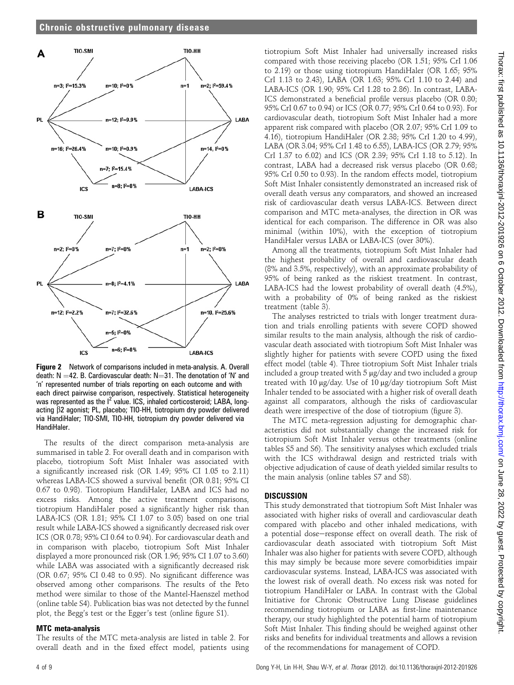

Figure 2 Network of comparisons included in meta-analysis. A. Overall death:  $N = 42$ . B. Cardiovascular death:  $N = 31$ . The denotation of 'N' and 'n' represented number of trials reporting on each outcome and with each direct pairwise comparison, respectively. Statistical heterogeneity was represented as the  $I^2$  value. ICS, inhaled corticosteroid; LABA, longacting b2 agonist; PL, placebo; TIO-HH, tiotropium dry powder delivered via HandiHaler; TIO-SMI, TIO-HH, tiotropium dry powder delivered via HandiHaler.

The results of the direct comparison meta-analysis are summarised in table 2. For overall death and in comparison with placebo, tiotropium Soft Mist Inhaler was associated with a significantly increased risk (OR 1.49; 95% CI 1.05 to 2.11) whereas LABA-ICS showed a survival benefit (OR 0.81; 95% CI 0.67 to 0.98). Tiotropium HandiHaler, LABA and ICS had no excess risks. Among the active treatment comparisons, tiotropium HandiHaler posed a significantly higher risk than LABA-ICS (OR 1.81; 95% CI 1.07 to 3.05) based on one trial result while LABA-ICS showed a significantly decreased risk over ICS (OR 0.78; 95% CI 0.64 to 0.94). For cardiovascular death and in comparison with placebo, tiotropium Soft Mist Inhaler displayed a more pronounced risk (OR 1.96; 95% CI 1.07 to 3.60) while LABA was associated with a significantly decreased risk (OR 0.67; 95% CI 0.48 to 0.95). No significant difference was observed among other comparisons. The results of the Peto method were similar to those of the Mantel-Haenszel method (online table S4). Publication bias was not detected by the funnel plot, the Begg's test or the Egger's test (online figure S1).

## MTC meta-analysis

The results of the MTC meta-analysis are listed in table 2. For overall death and in the fixed effect model, patients using

tiotropium Soft Mist Inhaler had universally increased risks compared with those receiving placebo (OR 1.51; 95% CrI 1.06 to 2.19) or those using tiotropium HandiHaler (OR 1.65; 95% CrI 1.13 to 2.43), LABA (OR 1.63; 95% CrI 1.10 to 2.44) and LABA-ICS (OR 1.90; 95% CrI 1.28 to 2.86). In contrast, LABA-ICS demonstrated a beneficial profile versus placebo (OR 0.80; 95% CrI 0.67 to 0.94) or ICS (OR 0.77; 95% CrI 0.64 to 0.93). For cardiovascular death, tiotropium Soft Mist Inhaler had a more apparent risk compared with placebo (OR 2.07; 95% CrI 1.09 to 4.16), tiotropium HandiHaler (OR 2.38; 95% CrI 1.20 to 4.99), LABA (OR 3.04; 95% CrI 1.48 to 6.55), LABA-ICS (OR 2.79; 95% CrI 1.37 to 6.02) and ICS (OR 2.39; 95% CrI 1.18 to 5.12). In contrast, LABA had a decreased risk versus placebo (OR 0.68; 95% CrI 0.50 to 0.93). In the random effects model, tiotropium Soft Mist Inhaler consistently demonstrated an increased risk of overall death versus any comparators, and showed an increased risk of cardiovascular death versus LABA-ICS. Between direct comparison and MTC meta-analyses, the direction in OR was identical for each comparison. The difference in OR was also minimal (within 10%), with the exception of tiotropium HandiHaler versus LABA or LABA-ICS (over 30%).

Among all the treatments, tiotropium Soft Mist Inhaler had the highest probability of overall and cardiovascular death (8% and 3.5%, respectively), with an approximate probability of 95% of being ranked as the riskiest treatment. In contrast, LABA-ICS had the lowest probability of overall death (4.5%), with a probability of 0% of being ranked as the riskiest treatment (table 3).

The analyses restricted to trials with longer treatment duration and trials enrolling patients with severe COPD showed similar results to the main analysis, although the risk of cardiovascular death associated with tiotropium Soft Mist Inhaler was slightly higher for patients with severe COPD using the fixed effect model (table 4). Three tiotropium Soft Mist Inhaler trials included a group treated with 5 µg/day and two included a group treated with 10 µg/day. Use of 10 µg/day tiotropium Soft Mist Inhaler tended to be associated with a higher risk of overall death against all comparators, although the risks of cardiovascular death were irrespective of the dose of tiotropium (figure 3).

The MTC meta-regression adjusting for demographic characteristics did not substantially change the increased risk for tiotropium Soft Mist Inhaler versus other treatments (online tables S5 and S6). The sensitivity analyses which excluded trials with the ICS withdrawal design and restricted trials with objective adjudication of cause of death yielded similar results to the main analysis (online tables S7 and S8).

## **DISCUSSION**

This study demonstrated that tiotropium Soft Mist Inhaler was associated with higher risks of overall and cardiovascular death compared with placebo and other inhaled medications, with a potential dose-response effect on overall death. The risk of cardiovascular death associated with tiotropium Soft Mist Inhaler was also higher for patients with severe COPD, although this may simply be because more severe comorbidities impair cardiovascular systems. Instead, LABA-ICS was associated with the lowest risk of overall death. No excess risk was noted for tiotropium HandiHaler or LABA. In contrast with the Global Initiative for Chronic Obstructive Lung Disease guidelines recommending tiotropium or LABA as first-line maintenance therapy, our study highlighted the potential harm of tiotropium Soft Mist Inhaler. This finding should be weighed against other risks and benefits for individual treatments and allows a revision of the recommendations for management of COPD.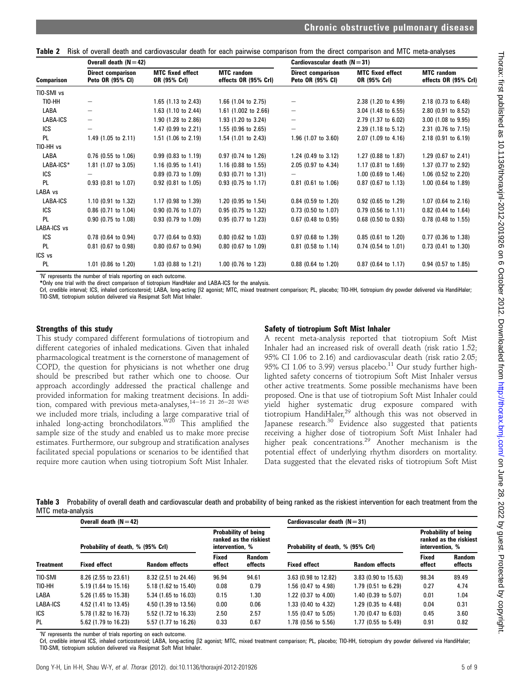Table 2 Risk of overall death and cardiovascular death for each pairwise comparison from the direct comparison and MTC meta-analyses

|             | Overall death $(N=42)$                       |                                         |                                           | Cardiovascular death $(N = 31)$              |                                         |                                           |
|-------------|----------------------------------------------|-----------------------------------------|-------------------------------------------|----------------------------------------------|-----------------------------------------|-------------------------------------------|
| Comparison  | <b>Direct comparison</b><br>Peto OR (95% CI) | <b>MTC</b> fixed effect<br>OR (95% Crl) | <b>MTC</b> random<br>effects OR (95% Crl) | <b>Direct comparison</b><br>Peto OR (95% CI) | <b>MTC</b> fixed effect<br>OR (95% Crl) | <b>MTC</b> random<br>effects OR (95% Crl) |
| TIO-SMI vs  |                                              |                                         |                                           |                                              |                                         |                                           |
| TIO-HH      | $\qquad \qquad -$                            | 1.65 $(1.13$ to 2.43)                   | 1.66 (1.04 to 2.75)                       |                                              | 2.38 (1.20 to 4.99)                     | 2.18 (0.73 to 6.48)                       |
| LABA        |                                              | 1.63 (1.10 to 2.44)                     | 1.61 $(1.002 \text{ to } 2.66)$           |                                              | $3.04$ (1.48 to 6.55)                   | $2.80$ (0.91 to 8.52)                     |
| LABA-ICS    | $\qquad \qquad -$                            | 1.90 (1.28 to 2.86)                     | 1.93 (1.20 to 3.24)                       |                                              | 2.79 (1.37 to 6.02)                     | 3.00 (1.08 to 9.95)                       |
| ICS         | —                                            | 1.47 (0.99 to 2.21)                     | $1.55$ (0.96 to 2.65)                     |                                              | 2.39 (1.18 to 5.12)                     | 2.31 (0.76 to 7.15)                       |
| PL          | 1.49 $(1.05$ to 2.11)                        | 1.51 (1.06 to 2.19)                     | 1.54 (1.01 to 2.43)                       | 1.96 (1.07 to 3.60)                          | 2.07 (1.09 to 4.16)                     | $2.18$ (0.91 to 6.19)                     |
| TIO-HH vs   |                                              |                                         |                                           |                                              |                                         |                                           |
| LABA        | $0.76$ (0.55 to 1.06)                        | $0.99$ (0.83 to 1.19)                   | 0.97 (0.74 to 1.26)                       | 1.24 $(0.49 \text{ to } 3.12)$               | 1.27 (0.88 to 1.87)                     | 1.29 (0.67 to 2.41)                       |
| LABA-ICS*   | 1.81 (1.07 to 3.05)                          | 1.16 (0.95 to 1.41)                     | $1.16$ (0.88 to 1.55)                     | 2.05 (0.97 to 4.34)                          | $1.17$ (0.81 to 1.69)                   | 1.37 (0.77 to 2.92)                       |
| ICS         |                                              | 0.89 (0.73 to 1.09)                     | $0.93$ (0.71 to 1.31)                     |                                              | 1.00 (0.69 to 1.46)                     | 1.06 (0.52 to 2.20)                       |
| <b>PL</b>   | $0.93$ (0.81 to 1.07)                        | 0.92 (0.81 to 1.05)                     | $0.93$ (0.75 to 1.17)                     | $0.81$ (0.61 to 1.06)                        | $0.87$ (0.67 to 1.13)                   | $1.00$ (0.64 to 1.89)                     |
| LABA vs     |                                              |                                         |                                           |                                              |                                         |                                           |
| LABA-ICS    | 1.10 (0.91 to 1.32)                          | 1.17 (0.98 to 1.39)                     | 1.20 (0.95 to 1.54)                       | $0.84$ (0.59 to 1.20)                        | $0.92$ (0.65 to 1.29)                   | $1.07$ (0.64 to 2.16)                     |
| ICS         | 0.86 (0.71 to 1.04)                          | $0.90$ (0.76 to 1.07)                   | $0.95$ (0.75 to 1.32)                     | $0.73$ (0.50 to 1.07)                        | $0.79$ (0.56 to 1.11)                   | 0.82 (0.44 to 1.64)                       |
| <b>PL</b>   | 0.90 (0.75 to 1.08)                          | 0.93 (0.79 to 1.09)                     | 0.95 (0.77 to 1.23)                       | $0.67$ (0.48 to 0.95)                        | $0.68$ (0.50 to 0.93)                   | $0.78$ (0.48 to 1.55)                     |
| LABA-ICS vs |                                              |                                         |                                           |                                              |                                         |                                           |
| ICS         | $0.78$ (0.64 to 0.94)                        | $0.77$ (0.64 to 0.93)                   | $0.80$ (0.62 to 1.03)                     | $0.97$ (0.68 to 1.39)                        | $0.85$ (0.61 to 1.20)                   | $0.77$ (0.36 to 1.38)                     |
| <b>PL</b>   | $0.81$ (0.67 to 0.98)                        | $0.80$ (0.67 to 0.94)                   | 0.80 (0.67 to 1.09)                       | $0.81$ (0.58 to 1.14)                        | $0.74$ (0.54 to 1.01)                   | $0.73$ (0.41 to 1.30)                     |
| ICS vs      |                                              |                                         |                                           |                                              |                                         |                                           |
| PL.         | $1.01$ (0.86 to 1.20)                        | 1.03 (0.88 to 1.21)                     | 1.00 (0.76 to 1.23)                       | $0.88$ (0.64 to 1.20)                        | $0.87$ (0.64 to 1.17)                   | $0.94$ (0.57 to 1.85)                     |

'N' represents the number of trials reporting on each outcome.

\*Only one trial with the direct comparison of tiotropium HandHaler and LABA-ICS for the analysis.

CrI, credible interval; ICS, inhaled corticosteroid; LABA, long-acting  $\beta$ 2 agonist; MTC, mixed treatment comparison; PL, placebo; TIO-HH, tiotropium dry powder delivered via HandiHaler; TIO-SMI, tiotropium solution delivered via Resipmat Soft Mist Inhaler.

#### Strengths of this study

This study compared different formulations of tiotropium and different categories of inhaled medications. Given that inhaled pharmacological treatment is the cornerstone of management of COPD, the question for physicians is not whether one drug should be prescribed but rather which one to choose. Our approach accordingly addressed the practical challenge and provided information for making treatment decisions. In addition, compared with previous meta-analyses,  $14-16$  21 26-28 W45 we included more trials, including a large comparative trial of inhaled long-acting bronchodilators. $W^{20}$  This amplified the sample size of the study and enabled us to make more precise estimates. Furthermore, our subgroup and stratification analyses facilitated special populations or scenarios to be identified that require more caution when using tiotropium Soft Mist Inhaler.

#### Safety of tiotropium Soft Mist Inhaler

A recent meta-analysis reported that tiotropium Soft Mist Inhaler had an increased risk of overall death (risk ratio 1.52; 95% CI 1.06 to 2.16) and cardiovascular death (risk ratio 2.05; 95% CI 1.06 to 3.99) versus placebo.<sup>11</sup> Our study further highlighted safety concerns of tiotropium Soft Mist Inhaler versus other active treatments. Some possible mechanisms have been proposed. One is that use of tiotropium Soft Mist Inhaler could yield higher systematic drug exposure compared with tiotropium HandiHaler,29 although this was not observed in Japanese research.<sup>30</sup> Evidence also suggested that patients receiving a higher dose of tiotropium Soft Mist Inhaler had higher peak concentrations.<sup>29</sup> Another mechanism is the potential effect of underlying rhythm disorders on mortality. Data suggested that the elevated risks of tiotropium Soft Mist

Table 3 Probability of overall death and cardiovascular death and probability of being ranked as the riskiest intervention for each treatment from the MTC meta-analysis

|                  | Overall death $(N=42)$            |                       |                        |                                                | Cardiovascular death $(N = 31)$   |                       |                        |                                                |
|------------------|-----------------------------------|-----------------------|------------------------|------------------------------------------------|-----------------------------------|-----------------------|------------------------|------------------------------------------------|
|                  | Probability of death, % (95% Crl) |                       | intervention, %        | Probability of being<br>ranked as the riskiest | Probability of death, % (95% Crl) |                       | intervention, %        | Probability of being<br>ranked as the riskiest |
| <b>Treatment</b> | <b>Fixed effect</b>               | <b>Random effects</b> | <b>Fixed</b><br>effect | <b>Random</b><br>effects                       | <b>Fixed effect</b>               | <b>Random effects</b> | <b>Fixed</b><br>effect | <b>Random</b><br>effects                       |
| TIO-SMI          | 8.26 (2.55 to 23.61)              | 8.32 (2.51 to 24.46)  | 96.94                  | 94.61                                          | 3.63 (0.98 to 12.82)              | 3.83 (0.90 to 15.63)  | 98.34                  | 89.49                                          |
| TIO-HH           | 5.19 (1.64 to 15.16)              | 5.18 (1.62 to 15.40)  | 0.08                   | 0.79                                           | 1.56 (0.47 to 4.98)               | 1.79 (0.51 to 6.29)   | 0.27                   | 4.74                                           |
| LABA             | 5.26 (1.65 to 15.38)              | 5.34 (1.65 to 16.03)  | 0.15                   | l.30                                           | 1.22 (0.37 to 4.00)               | 1.40 (0.39 to 5.07)   | 0.01                   | 1.04                                           |
| LABA-ICS         | 4.52 (1.41 to 13.45)              | 4.50 (1.39 to 13.56)  | 0.00                   | 0.06                                           | 1.33 (0.40 to 4.32)               | 1.29 (0.35 to 4.48)   | 0.04                   | 0.31                                           |
| ICS              | 5.78 (1.82 to 16.73)              | 5.52 (1.72 to 16.33)  | 2.50                   | 2.57                                           | 1.55 (0.47 to 5.05)               | 1.70 (0.47 to 6.03)   | 0.45                   | 3.60                                           |
| PL               | 5.62 (1.79 to 16.23)              | 5.57 (1.77 to 16.26)  | 0.33                   | 0.67                                           | 1.78 (0.56 to 5.56)               | 1.77 (0.55 to 5.49)   | 0.91                   | 0.82                                           |

'N' represents the number of trials reporting on each outcome.

CrI, credible interval ICS, inhaled corticosteroid; LABA, long-acting  $\beta$ 2 agonist; MTC, mixed treatment comparison; PL, placebo; TIO-HH, tiotropium dry powder delivered via HandiHaler; TIO-SMI, tiotropium solution delivered via Resipmat Soft Mist Inhaler.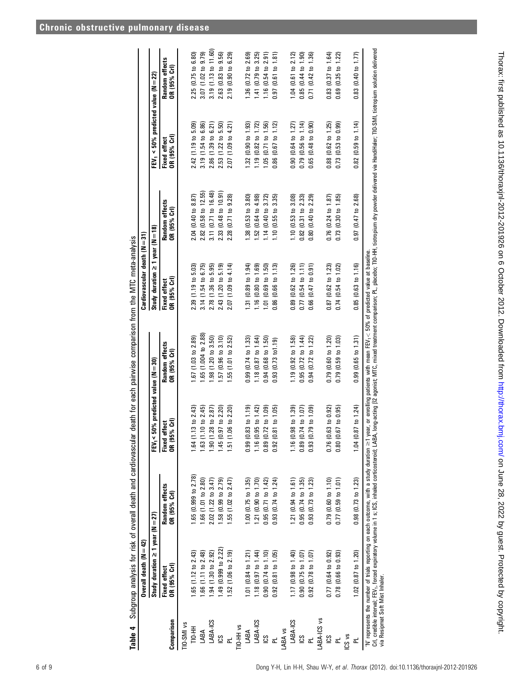| <b>Chronic obstructive pulmonary disease</b> |  |
|----------------------------------------------|--|
|                                              |  |

Table 4 Subgroup analysis for risk of overall death and cardiovascular death for each pairwise comparison from the MTC meta-analysis

Table 4 Subgroup analysis for risk of overall death and cardiovascular death for each pairwise comparison from the MTC meta-analysis

|                                       | Overall death $(N=42)$                |                                                                                                                                                                                                                                                                                                    |                                                  |                                | Cardiovascular death (N = 31)         |                                                                                                                                                                        |                                                 |                                   |
|---------------------------------------|---------------------------------------|----------------------------------------------------------------------------------------------------------------------------------------------------------------------------------------------------------------------------------------------------------------------------------------------------|--------------------------------------------------|--------------------------------|---------------------------------------|------------------------------------------------------------------------------------------------------------------------------------------------------------------------|-------------------------------------------------|-----------------------------------|
|                                       | Study duration $\geq 1$ year (N = 27) |                                                                                                                                                                                                                                                                                                    | $50\%$ predicted value (N $=30$ )<br><b>FEV-</b> |                                | Study duration $\geq 1$ year (N = 18) |                                                                                                                                                                        | FEV <sub>1</sub> < 50% predicted value (N = 22) |                                   |
| Comparison                            | OR (95% Crl)<br><b>Fixed effect</b>   | Random effects<br>DR (95% Crl)                                                                                                                                                                                                                                                                     | OR (95% Crl)<br><b>Fixed effect</b>              | Random effects<br>OR (95% Crl) | OR (95% Crl)<br>Fixed effect          | Random effects<br>OR (95% Crl)                                                                                                                                         | OR (95% Crl)<br>Fixed effect                    | Random effects<br>OR (95% Crl     |
| TIO-SMI vs                            |                                       |                                                                                                                                                                                                                                                                                                    |                                                  |                                |                                       |                                                                                                                                                                        |                                                 |                                   |
| H-SH                                  | .65 $(1.12 \text{ to } 2.43)$         | .65 (0.999 to 2.78)                                                                                                                                                                                                                                                                                | $.64(1.13 \text{ to } 2.43)$                     | .67(1.03 to 2.89)              | 2.39(1.19 to 5.03)                    | 2.04 (0.40 to 8.87)                                                                                                                                                    | 2.42 (1.19 to 5.09)                             | 2.25 (0.75 to 6.80)               |
| LABA                                  | $1.66$ (1.11 to 2.48)                 | $1.66$ (1.01 to 2.80)                                                                                                                                                                                                                                                                              | .63(1.10 to 2.45)                                | 1.65 (1.004 to 2.88)           | 3.14(1.54 to 6.75)                    | 2.82(0.58 to 12.55)                                                                                                                                                    | 3.19(1.54 to 6.86)                              | 3.07 $(1.02 \text{ to } 9.79)$    |
| LABA-ICS                              | $.94(1.30 \text{ to } 2.92)$          | 2.02 (1.22 to 3.47)                                                                                                                                                                                                                                                                                | .90 (1.28 to 2.87                                | .98(1.20 to 3.50)              | 2.78(1.36 to 5.95)                    | 3.11 $(0.71 \text{ to } 16.48)$                                                                                                                                        | 2.86(1.39 to 6.21)                              | 3.19(1.13 to 11.60)               |
| S                                     | .49 (0.999 to 2.22)                   | .58 (0.99 to 2.79)                                                                                                                                                                                                                                                                                 | .45 (0.97 to 2.20)                               | .57(0.96 to 3.10)              | 2.43 (1.20 to 5.19)                   | 2.33 (0.48 to 10.91                                                                                                                                                    | 2.53 (1.22 to 5.50)                             | 2.63 (0.83 to 9.56)               |
|                                       | $.52$ (1.06 to 2.19)                  | $.55(1.02 \text{ to } 2.47)$                                                                                                                                                                                                                                                                       | $.06 \text{ to } 2.20$<br>1.51(1.                | 1.55(1.01 to 2.52)             | 2.07(1.09 to 4.14)                    | 2.28 (0.71 to 9.28)                                                                                                                                                    | 2.07(1.09 to 4.21)                              | 2.19(0.90 to 6.29)                |
| TIO-HH vs                             |                                       |                                                                                                                                                                                                                                                                                                    |                                                  |                                |                                       |                                                                                                                                                                        |                                                 |                                   |
| LABA                                  | $1.01$ (0.84 to 1.21)                 | $1.00$ (0.75 to 1.35)                                                                                                                                                                                                                                                                              | $.83 \text{ to } 1.19$<br>0.99(0.                | 0.99(0.74 to 1.33)             | 1.31(0.89 to 1.94)                    | $1.38$ $(0.53$ to $3.80)$                                                                                                                                              | 1.32(0.90 to 1.93)                              | 1.36 (0.72 to 2.69)               |
| LABA-ICS                              | 1.18 $(0.97 \text{ to } 1.44)$        | 1.21 (0.90 to 1.70)                                                                                                                                                                                                                                                                                | 1.16 (0.95 to $1.42$ )                           | $1.18$ (0.87 to 1.64)          | 1.16(0.80 to 1.69)                    | $.52(0.64 \text{ to } 4.98)$                                                                                                                                           | 1.19(0.82 to 1.72)                              | 1.41 $(0.79$ to 3.25              |
| SJ                                    | $0.90$ $(0.74$ to $1.10)$             | $0.95(0.71 \text{ to } 1.42)$                                                                                                                                                                                                                                                                      | 0.89 (0.72 to 1.09                               | 0.94(0.68 to 1.50)             | 1.01(0.69 to 1.50)                    | $1.14$ (0.40 to 3.72)                                                                                                                                                  | 1.05(0.71 to 1.56)                              | $1.16$ (0.54 to 2.91)             |
| ᇎ                                     | $0.92(0.81 \text{ to } 1.05)$         | $0.93(0.74 \text{ to } 1.24)$                                                                                                                                                                                                                                                                      | $81$ to $1.05$<br>0.92(0.                        | $0.93(0.73 \text{ to} 1.19)$   | 0.86(0.66 to 1.13)                    | 1.10(0.55 to 3.35)                                                                                                                                                     | $0.86$ (0.67 to 1.12)                           | $(0.61 \text{ to } 1.81)$<br>0.97 |
| LABA vs                               |                                       |                                                                                                                                                                                                                                                                                                    |                                                  |                                |                                       |                                                                                                                                                                        |                                                 |                                   |
| LABA-ICS                              | $(0.17)(0.98 \text{ to } 1.40)$       | $1.21$ (0.94 to 1.61)                                                                                                                                                                                                                                                                              | 1.16 (0.98 to 1.39)                              | 1.19 (0.92 to 1.58)            | 0.89(0.62 to 1.26)                    | 1.10(0.53 to 3.08)                                                                                                                                                     | 0.90(0.64 to 1.27)                              | 1.04 $(0.61$ to 2.12              |
| SCI                                   | $0.90$ $(0.75$ to $1.07)$             | $0.95(0.74 \text{ to } 1.35)$                                                                                                                                                                                                                                                                      | $0.89(0.74 \text{ to } 1.07)$                    | 0.95(0.72 to 1.44)             | 0.77(0.54 to 1.11)                    | $0.82$ (0.31 to 2.33)                                                                                                                                                  | $0.79$ (0.56 to 1.14)                           | $0.85(0.44 \text{ to } 1.90)$     |
| ᆮ                                     | $0.92$ (0.78 to 1.07)                 | $0.93$ $(0.73$ to 1.23)                                                                                                                                                                                                                                                                            | $0.93(0.79 \text{ to } 1.09)$                    | 0.94(0.72 to 1.22)             | $0.66$ $(0.47$ to $0.91$              | $0.80(0.40 \text{ to } 2.29)$                                                                                                                                          | 0.65(0.48 to 0.90)                              | $0.71$ (0.42 to 1.36)             |
| LABA-ICS vs                           |                                       |                                                                                                                                                                                                                                                                                                    |                                                  |                                |                                       |                                                                                                                                                                        |                                                 |                                   |
| SCI                                   | $0.77$ (0.64 to 0.92)                 | $0.79$ $(0.60 \text{ to } 1.10)$                                                                                                                                                                                                                                                                   | $0.76$ (0.63 to 0.92)                            | 0.79(0.60 to 1.20)             | 0.87(0.62 to 1.23)                    | $0.76$ $(0.24$ to $1.87)$                                                                                                                                              | $0.88$ $(0.62$ to $1.25)$                       | $0.83$ (0.37 to 1.64)             |
|                                       | $0.78$ (0.66 to 0.93)                 | $0.77$ (0.59 to 1.01)                                                                                                                                                                                                                                                                              | $.67 \text{ to } 0.95$<br>0.80(0.                | 0.79(0.59 to 1.03)             | $0.74$ $(0.54$ to $1.02$              | 0.73(0.30 to 1.85)                                                                                                                                                     | 0.73(0.53 to 0.99)                              | $0.69$ $(0.35$ to $1.22)$         |
| ICS vs                                |                                       |                                                                                                                                                                                                                                                                                                    |                                                  |                                |                                       |                                                                                                                                                                        |                                                 |                                   |
| ᆮ                                     | 1.02 (0.87 to 1.20)                   | $0.98$ (0.73 to 1.23)                                                                                                                                                                                                                                                                              | 87 to 1.24<br>1.04(0.                            | 0.99(0.65 to 1.31)             | 0.85(0.63 to 1.16)                    | $0.97(0.47 \text{ to } 2.68)$                                                                                                                                          | $0.82$ (0.59 to 1.14)                           | $0.83$ (0.40 to 1.77)             |
| $C = 0$ and $N = 1$ .<br>ا<br>استانسا |                                       | 'N' represents the number of trials reporting on each outcome, with a study duration $\geq 1$ year, or enrolling patients with mean FEV1 $<$ 50% of predicted value at baseline.<br>Crl, credible interval; FEV <sub>1</sub> , forced expiratory volume in 1 s; ICS, inhaled corticosteroid; LABA, |                                                  |                                |                                       | , long-acting β2 agonist; MTC, mixed treatment comparison; PL, placebo; TIO-HH, tiotropium dry powder delivered via HandiHaler; TIO-SMI, tiotropium solution delivered |                                                 |                                   |

via Resipmat Soft Mist Inhaler. via Resipmat Soft Mist Inhaler.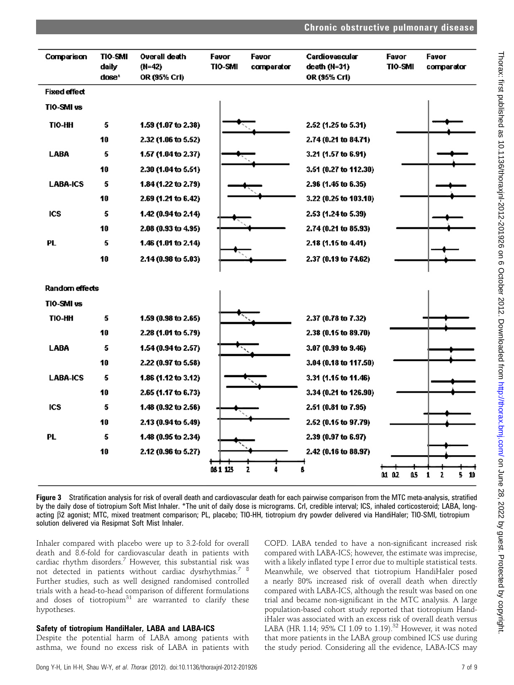| Comparison            | <b>TIO-SMI</b><br>daily<br>dose* | Overall death<br>(N=42)<br>OR (95% CrI) | Favor<br>TIO-SMI | Favor<br>comparator | Cardiovascular<br>death (N=31)<br>OR (95% CrI) | Favor<br><b>TIO-SMI</b> | Favor<br>comparator |
|-----------------------|----------------------------------|-----------------------------------------|------------------|---------------------|------------------------------------------------|-------------------------|---------------------|
| <b>Fixed effect</b>   |                                  |                                         |                  |                     |                                                |                         |                     |
| TIO-SMI vs            |                                  |                                         |                  |                     |                                                |                         |                     |
| <b>TIO-HH</b>         | 5                                | 1.59 (1.07 to 2.38)                     |                  |                     | 2.52 (1.25 to 5.31)                            |                         |                     |
|                       | 10                               | 2.32 (1.06 to 5.52)                     |                  |                     | 2.74 (0.21 to 84.71)                           |                         |                     |
| <b>LABA</b>           | 5                                | 1.57 (1.04 to 2.37)                     |                  |                     | 3.21 (1.57 to 6.91)                            |                         |                     |
|                       | 10                               | 2.30 (1.04 to 5.51)                     |                  |                     | 3.51 (0.27 to 112.30)                          |                         |                     |
| <b>LABA-ICS</b>       | 5                                | 1.84 (1.22 to 2.79)                     |                  |                     | 2.96 (1.45 to 6.35)                            |                         |                     |
|                       | 10                               | 2.69 (1.21 to 6.42)                     |                  |                     | 3.22 (0.25 to 103.10)                          |                         |                     |
| <b>ICS</b>            | 5                                | 1.42 (0.94 to 2.14)                     |                  |                     | 2.53 (1.24 to 5.39)                            |                         |                     |
|                       | 10                               | 2.08 (0.93 to 4.95)                     |                  |                     | 2.74 (0.21 to 85.93)                           |                         |                     |
| PL                    | 5                                | 1.46 (1.01 to 2.14)                     |                  |                     | 2.18 (1.15 to 4.41)                            |                         |                     |
|                       | 10                               | $2.14(0.98 \text{ to } 5.03)$           |                  |                     | 2.37 (0.19 to 74.62)                           |                         |                     |
| <b>Random effects</b> |                                  |                                         |                  |                     |                                                |                         |                     |
| TIO-SMI vs            |                                  |                                         |                  |                     |                                                |                         |                     |
| TIO-HH                | 5                                | 1.59 (0.98 to 2.65)                     |                  |                     | 2.37 (0.78 to 7.32)                            |                         |                     |
|                       | 10                               | 2.28 (1.01 to 5.79)                     |                  |                     | 2.38 (0.15 to 89.70)                           |                         |                     |
| <b>LABA</b>           | 5                                | 1.54 (0.94 to 2.57)                     |                  |                     | 3.07 (0.99 to 9.46)                            |                         |                     |
|                       | 10                               | 2.22 (0.97 to 5.58)                     |                  |                     | 3.04 (0.18 to 117.50)                          |                         |                     |
| <b>LABA-ICS</b>       | 5                                | 1.86 (1.12 to 3.12)                     |                  |                     | 3.31 (1.15 to 11.46)                           |                         |                     |
|                       | 10                               | 2.65 (1.17 to 6.73)                     |                  |                     | 3.34 (0.21 to 126.90)                          |                         |                     |
| <b>ICS</b>            | 5                                | 1.48 (0.92 to 2.56)                     |                  |                     | 2.51 (0.81 to 7.95)                            |                         |                     |
|                       | 10                               | 2.13 (0.94 to 5.49)                     |                  |                     | 2.52 (0.15 to 97.79)                           |                         |                     |
| PL                    | 5                                | 1.48 (0.95 to 2.34)                     |                  |                     | 2.39 (0.97 to 6.97)                            |                         |                     |
|                       | 10                               | 2.12 (0.96 to 5.27)                     |                  |                     | 2.42 (0.16 to 88.97)                           |                         |                     |
|                       |                                  |                                         | 081125           | 2                   |                                                | 01 02<br>û.5            | $5-10$<br>1<br>2    |

Figure 3 Stratification analysis for risk of overall death and cardiovascular death for each pairwise comparison from the MTC meta-analysis, stratified by the daily dose of tiotropium Soft Mist Inhaler. \*The unit of daily dose is micrograms. CrI, credible interval; ICS, inhaled corticosteroid; LABA, longacting b2 agonist; MTC, mixed treatment comparison; PL, placebo; TIO-HH, tiotropium dry powder delivered via HandiHaler; TIO-SMI, tiotropium solution delivered via Resipmat Soft Mist Inhaler.

Inhaler compared with placebo were up to 3.2-fold for overall death and 8.6-fold for cardiovascular death in patients with cardiac rhythm disorders.<sup>7</sup> However, this substantial risk was not detected in patients without cardiac dysrhythmias.<sup>7</sup> <sup>8</sup> Further studies, such as well designed randomised controlled trials with a head-to-head comparison of different formulations and doses of tiotropium $31$  are warranted to clarify these hypotheses.

## Safety of tiotropium HandiHaler, LABA and LABA-ICS

Despite the potential harm of LABA among patients with asthma, we found no excess risk of LABA in patients with COPD. LABA tended to have a non-significant increased risk compared with LABA-ICS; however, the estimate was imprecise, with a likely inflated type I error due to multiple statistical tests. Meanwhile, we observed that tiotropium HandiHaler posed a nearly 80% increased risk of overall death when directly compared with LABA-ICS, although the result was based on one trial and became non-significant in the MTC analysis. A large population-based cohort study reported that tiotropium HandiHaler was associated with an excess risk of overall death versus LABA (HR 1.14; 95% CI 1.09 to 1.19).<sup>32</sup> However, it was noted that more patients in the LABA group combined ICS use during the study period. Considering all the evidence, LABA-ICS may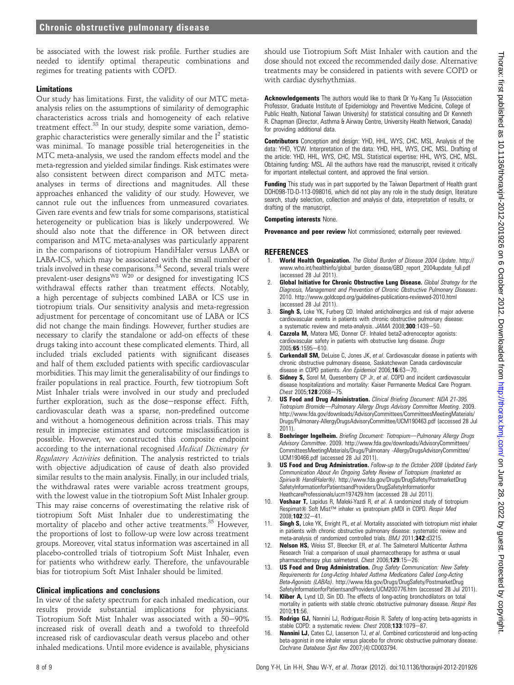be associated with the lowest risk profile. Further studies are needed to identify optimal therapeutic combinations and regimes for treating patients with COPD.

#### Limitations

Our study has limitations. First, the validity of our MTC metaanalysis relies on the assumptions of similarity of demographic characteristics across trials and homogeneity of each relative treatment effect.<sup>33</sup> In our study, despite some variation, demographic characteristics were generally similar and the  $I<sup>2</sup>$  statistic was minimal. To manage possible trial heterogeneities in the MTC meta-analysis, we used the random effects model and the meta-regression and yielded similar findings. Risk estimates were also consistent between direct comparison and MTC metaanalyses in terms of directions and magnitudes. All these approaches enhanced the validity of our study. However, we cannot rule out the influences from unmeasured covariates. Given rare events and few trials for some comparisons, statistical heterogeneity or publication bias is likely underpowered. We should also note that the difference in OR between direct comparison and MTC meta-analyses was particularly apparent in the comparisons of tiotropium HandiHaler versus LABA or LABA-ICS, which may be associated with the small number of trials involved in these comparisons.<sup>34</sup> Second, several trials were prevalent-user designs<sup>W8 W20</sup> or designed for investigating ICS withdrawal effects rather than treatment effects. Notably, a high percentage of subjects combined LABA or ICS use in tiotropium trials. Our sensitivity analysis and meta-regression adjustment for percentage of concomitant use of LABA or ICS did not change the main findings. However, further studies are necessary to clarify the standalone or add-on effects of these drugs taking into account these complicated elements. Third, all included trials excluded patients with significant diseases and half of them excluded patients with specific cardiovascular morbidities. This may limit the generalisability of our findings to frailer populations in real practice. Fourth, few tiotropium Soft Mist Inhaler trials were involved in our study and precluded further exploration, such as the dose-response effect. Fifth, cardiovascular death was a sparse, non-predefined outcome and without a homogeneous definition across trials. This may result in imprecise estimates and outcome misclassification is possible. However, we constructed this composite endpoint according to the international recognised Medical Dictionary for Regulatory Activities definition. The analysis restricted to trials with objective adjudication of cause of death also provided similar results to the main analysis. Finally, in our included trials, the withdrawal rates were variable across treatment groups, with the lowest value in the tiotropium Soft Mist Inhaler group. This may raise concerns of overestimating the relative risk of tiotropium Soft Mist Inhaler due to underestimating the mortality of placebo and other active treatments.<sup>35</sup> However, the proportions of lost to follow-up were low across treatment groups. Moreover, vital status information was ascertained in all placebo-controlled trials of tiotropium Soft Mist Inhaler, even for patients who withdrew early. Therefore, the unfavourable bias for tiotropium Soft Mist Inhaler should be limited.

#### Clinical implications and conclusions

In view of the safety spectrum for each inhaled medication, our results provide substantial implications for physicians. Tiotropium Soft Mist Inhaler was associated with a 50-90% increased risk of overall death and a twofold to threefold increased risk of cardiovascular death versus placebo and other inhaled medications. Until more evidence is available, physicians should use Tiotropium Soft Mist Inhaler with caution and the dose should not exceed the recommended daily dose. Alternative treatments may be considered in patients with severe COPD or with cardiac dysrhythmias.

Acknowledgements The authors would like to thank Dr Yu-Kang Tu (Association Professor, Graduate Institute of Epidemiology and Preventive Medicine, College of Public Health, National Taiwan University) for statistical consulting and Dr Kenneth R. Chapman (Director, Asthma & Airway Centre, University Health Network, Canada) for providing additional data.

Contributors Conception and design: YHD, HHL, WYS, CHC, MSL. Analysis of the data: YHD, YCW. Interpretation of the data: YHD, HHL, WYS, CHC, MSL. Drafting of the article: YHD, HHL, WYS, CHC, MSL. Statistical expertise: HHL, WYS, CHC, MSL. Obtaining funding: MSL. All the authors have read the manuscript, revised it critically for important intellectual content, and approved the final version.

**Funding** This study was in part supported by the Taiwan Department of Health grant DOH098-TD-D-113-098016, which did not play any role in the study design, literature search, study selection, collection and analysis of data, interpretation of results, or drafting of the manuscript.

#### Competing interests None.

Provenance and peer review Not commissioned; externally peer reviewed.

#### **REFERENCES**

- 1. World Health Organization. The Global Burden of Disease 2004 Update. http:// www.who.int/healthinfo/global\_burden\_disease/GBD\_report\_2004update\_full.pdf (accessed 28 Jul 2011).
- Global Initiative for Chronic Obstructive Lung Disease. Global Strategy for the Diagnosis, Management and Prevention of Chronic Obstructive Pulmonary Diseases. 2010. http://www.goldcopd.org/guidelines-publications-reviewed-2010.html (accessed 28 Jul 2011).
- 3. Singh S, Loke YK, Furberg CD. Inhaled anticholinergics and risk of major adverse cardiovascular events in patients with chronic obstructive pulmonary disease: a systematic review and meta-analysis. JAMA 2008;300:1439-50.
- **Cazzola M, Matera MG, Donner CF. Inhaled beta2-adrenoceptor agonists:** cardiovascular safety in patients with obstructive lung disease. Drugs  $2005:65:1595 - 610$
- 5. **Curkendall SM,** DeLuise C, Jones JK, et al. Cardiovascular disease in patients with chronic obstructive pulmonary disease, Saskatchewan Canada cardiovascular disease in COPD patients. Ann Epidemiol 2006;16:63-70.
- 6. Sidney S, Sorel M, Quesenberry CP Jr, et al. COPD and incident cardiovascular disease hospitalizations and mortality: Kaiser Permanente Medical Care Program.  $Check 2005:128:2068 - 75.$
- US Food and Drug Administration. Clinical Briefing Document: NDA 21-395. Tiotropium Bromide-Pulmonary Allergy Drugs Advisory Committee Meeting. 2009. http://www.fda.gov/downloads/AdvisoryCommittees/CommitteesMeetingMaterials/ Drugs/Pulmonary-AllergyDrugsAdvisoryCommittee/UCM190463.pdf (accessed 28 Jul 2011).
- 8. Boehringer Ingelheim. Briefing Document: Tiotropium-Pulmonary Allergy Drugs Advisory Committee. 2009. http://www.fda.gov/downloads/AdvisoryCommittees/ CommitteesMeetingMaterials/Drugs/Pulmonary -AllergyDrugsAdvisoryCommittee/ UCM190466.pdf (accessed 28 Jul 2011).
- US Food and Drug Administration. Follow-up to the October 2008 Updated Early Communication About An Ongoing Safety Review of Tiotropium (marketed as Spiriva® HandiHaler®). http://www.fda.gov/Drugs/DrugSafety/PostmarketDrug SafetyInformationforPatientsandProviders/DrugSafetyInformationfor HeathcareProfessionals/ucm197429.htm (accessed 28 Jul 2011).
- 10. Voshaar T, Lapidus R, Maleki-Yazdi R, et al. A randomized study of tiotropium Respimat<sup>®</sup> Soft Mist<sup>™</sup> inhaler vs ipratropium pMDI in COPD. Respir Med 2008;102:32-41.
- 11. Singh S, Loke YK, Enright PL, et al. Mortality associated with tiotropium mist inhaler in patients with chronic obstructive pulmonary disease: systematic review and meta-analysis of randomized controlled trials. BMJ 2011;342:d3215.
- Nelson HS, Weiss ST, Bleecker ER, et al. The Salmeterol Multicenter Asthma Research Trial: a comparison of usual pharmacotherapy for asthma or usual pharmacotherapy plus salmeterol. Chest  $2006; 129:15-26$ .
- 13. US Food and Drug Administration. Drug Safety Communication: New Safety Requirements for Long-Acting Inhaled Asthma Medications Called Long-Acting Beta-Agonists (LABAs). http://www.fda.gov/Drugs/DrugSafety/PostmarketDrug SafetyInformationforPatientsandProviders/UCM200776.htm (accessed 28 Jul 2011).
- 14. **Kliber A,** Lynd LD, Sin DD. The effects of long-acting bronchodilators on total mortality in patients with stable chronic obstructive pulmonary disease. Respir Res 2010;11:56.
- 15. Rodrigo GJ, Nannini LJ, Rodriguez-Roisin R. Safety of long-acting beta-agonists in stable COPD: a systematic review. Chest 2008;133:1079-87.
- 16. **Nannini LJ,** Cates CJ, Lasserson TJ, et al. Combined corticosteroid and long-acting beta-agonist in one inhaler versus placebo for chronic obstructive pulmonary disease. Cochrane Database Syst Rev 2007;(4):CD003794.